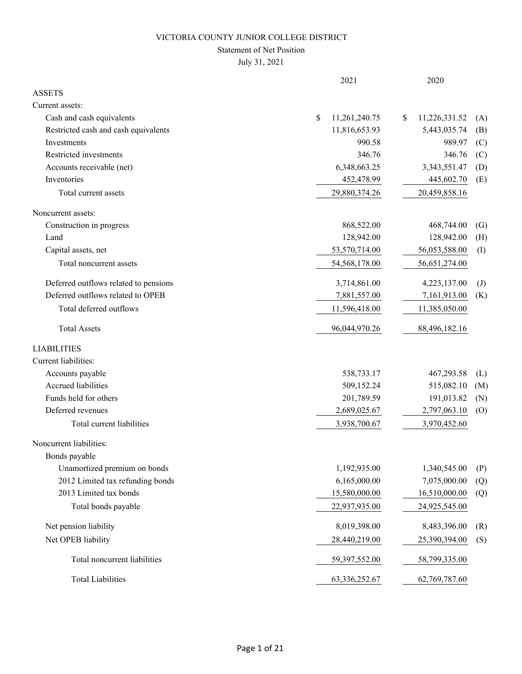#### Statement of Net Position

July 31, 2021

|                                       | 2021                | 2020                |              |
|---------------------------------------|---------------------|---------------------|--------------|
| <b>ASSETS</b>                         |                     |                     |              |
| Current assets:                       |                     |                     |              |
| Cash and cash equivalents             | \$<br>11,261,240.75 | 11,226,331.52<br>\$ | (A)          |
| Restricted cash and cash equivalents  | 11,816,653.93       | 5,443,035.74        | (B)          |
| Investments                           | 990.58              | 989.97              | (C)          |
| Restricted investments                | 346.76              | 346.76              | (C)          |
| Accounts receivable (net)             | 6,348,663.25        | 3,343,551.47        | (D)          |
| Inventories                           | 452,478.99          | 445,602.70          | (E)          |
| Total current assets                  | 29,880,374.26       | 20,459,858.16       |              |
| Noncurrent assets:                    |                     |                     |              |
| Construction in progress              | 868,522.00          | 468,744.00          | (G)          |
| Land                                  | 128,942.00          | 128,942.00          | (H)          |
| Capital assets, net                   | 53,570,714.00       | 56,053,588.00       | (I)          |
| Total noncurrent assets               | 54,568,178.00       | 56,651,274.00       |              |
| Deferred outflows related to pensions | 3,714,861.00        | 4,223,137.00        | $\mathrm{J}$ |
| Deferred outflows related to OPEB     | 7,881,557.00        | 7,161,913.00        | (K)          |
| Total deferred outflows               | 11,596,418.00       | 11,385,050.00       |              |
| <b>Total Assets</b>                   | 96,044,970.26       | 88,496,182.16       |              |
| <b>LIABILITIES</b>                    |                     |                     |              |
| Current liabilities:                  |                     |                     |              |
| Accounts payable                      | 538,733.17          | 467,293.58          | (L)          |
| Accrued liabilities                   | 509,152.24          | 515,082.10          | (M)          |
| Funds held for others                 | 201,789.59          | 191,013.82          | (N)          |
| Deferred revenues                     | 2,689,025.67        | 2,797,063.10        | (0)          |
| Total current liabilities             | 3,938,700.67        | 3,970,452.60        |              |
| Noncurrent liabilities:               |                     |                     |              |
| Bonds payable                         |                     |                     |              |
| Unamortized premium on bonds          | 1,192,935.00        | 1,340,545.00        | (P)          |
| 2012 Limited tax refunding bonds      | 6,165,000.00        | 7,075,000.00        | (Q)          |
| 2013 Limited tax bonds                | 15,580,000.00       | 16,510,000.00       | (Q)          |
| Total bonds payable                   | 22,937,935.00       | 24,925,545.00       |              |
| Net pension liability                 | 8,019,398.00        | 8,483,396.00        | (R)          |
| Net OPEB liability                    | 28,440,219.00       | 25,390,394.00       | (S)          |
| Total noncurrent liabilities          | 59,397,552.00       | 58,799,335.00       |              |
| <b>Total Liabilities</b>              | 63, 336, 252. 67    | 62,769,787.60       |              |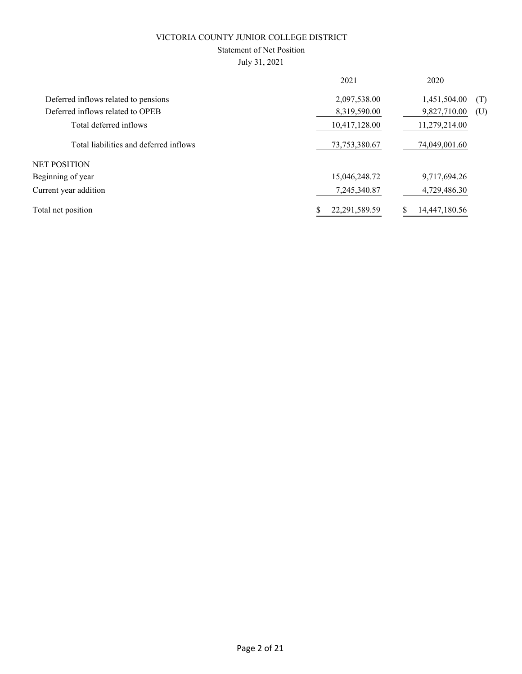### Statement of Net Position

July 31, 2021

| 2021          | 2020                |
|---------------|---------------------|
| 2,097,538.00  | 1,451,504.00<br>(T) |
| 8,319,590.00  | 9,827,710.00<br>(U) |
| 10,417,128.00 | 11,279,214.00       |
| 73,753,380.67 | 74,049,001.60       |
|               |                     |
| 15,046,248.72 | 9,717,694.26        |
| 7,245,340.87  | 4,729,486.30        |
| 22,291,589.59 | 14,447,180.56       |
|               |                     |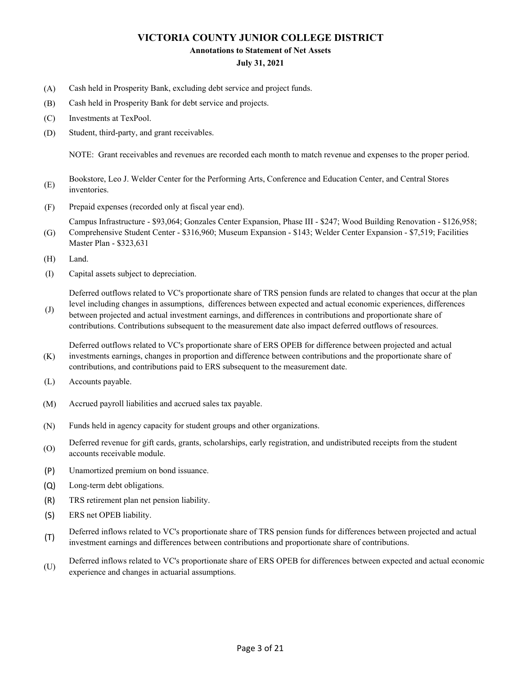#### **Annotations to Statement of Net Assets**

#### **July 31, 2021**

- (A) Cash held in Prosperity Bank, excluding debt service and project funds.
- (B) Cash held in Prosperity Bank for debt service and projects.
- (C) Investments at TexPool.
- (D) Student, third-party, and grant receivables.

NOTE: Grant receivables and revenues are recorded each month to match revenue and expenses to the proper period.

- (E) Bookstore, Leo J. Welder Center for the Performing Arts, Conference and Education Center, and Central Stores inventories.
- (F) Prepaid expenses (recorded only at fiscal year end).

(G) Campus Infrastructure - \$93,064; Gonzales Center Expansion, Phase III - \$247; Wood Building Renovation - \$126,958; Comprehensive Student Center - \$316,960; Museum Expansion - \$143; Welder Center Expansion - \$7,519; Facilities

- Master Plan \$323,631
- (H) Land.
- (I) Capital assets subject to depreciation.

Deferred outflows related to VC's proportionate share of TRS pension funds are related to changes that occur at the plan level including changes in assumptions, differences between expected and actual economic experiences, differences

(J) between projected and actual investment earnings, and differences in contributions and proportionate share of contributions. Contributions subsequent to the measurement date also impact deferred outflows of resources.

(K) Deferred outflows related to VC's proportionate share of ERS OPEB for difference between projected and actual investments earnings, changes in proportion and difference between contributions and the proportionate share of contributions, and contributions paid to ERS subsequent to the measurement date.

- (L) Accounts payable.
- (M) Accrued payroll liabilities and accrued sales tax payable.
- (N) Funds held in agency capacity for student groups and other organizations.
- (O) Deferred revenue for gift cards, grants, scholarships, early registration, and undistributed receipts from the student accounts receivable module.
- (P) Unamortized premium on bond issuance.
- (Q) Long-term debt obligations.
- (R) TRS retirement plan net pension liability.
- (S) ERS net OPEB liability.
- (T) Deferred inflows related to VC's proportionate share of TRS pension funds for differences between projected and actual investment earnings and differences between contributions and proportionate share of contributions.
- (U) Deferred inflows related to VC's proportionate share of ERS OPEB for differences between expected and actual economic experience and changes in actuarial assumptions.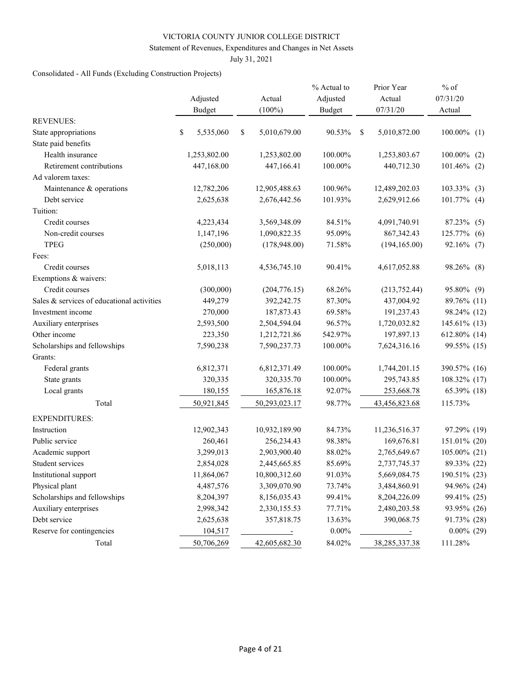#### Statement of Revenues, Expenditures and Changes in Net Assets

July 31, 2021

### Consolidated - All Funds (Excluding Construction Projects)

|                                            | Adjusted<br><b>Budget</b> |              | Actual<br>$(100\%)$ | % Actual to<br>Adjusted<br><b>Budget</b> |   | Prior Year<br>Actual<br>07/31/20 | $%$ of<br>07/31/20<br>Actual |     |
|--------------------------------------------|---------------------------|--------------|---------------------|------------------------------------------|---|----------------------------------|------------------------------|-----|
| <b>REVENUES:</b>                           |                           |              |                     |                                          |   |                                  |                              |     |
| State appropriations                       | \$                        | 5,535,060    | \$<br>5,010,679.00  | 90.53%                                   | S | 5,010,872.00                     | $100.00\%$ (1)               |     |
| State paid benefits                        |                           |              |                     |                                          |   |                                  |                              |     |
| Health insurance                           |                           | 1,253,802.00 | 1,253,802.00        | 100.00%                                  |   | 1,253,803.67                     | 100.00%                      | (2) |
| Retirement contributions                   |                           | 447,168.00   | 447,166.41          | 100.00%                                  |   | 440,712.30                       | $101.46\%$ (2)               |     |
| Ad valorem taxes:                          |                           |              |                     |                                          |   |                                  |                              |     |
| Maintenance & operations                   |                           | 12,782,206   | 12,905,488.63       | 100.96%                                  |   | 12,489,202.03                    | $103.33\%$ (3)               |     |
| Debt service                               |                           | 2,625,638    | 2,676,442.56        | 101.93%                                  |   | 2,629,912.66                     | $101.77\%$ (4)               |     |
| Tuition:                                   |                           |              |                     |                                          |   |                                  |                              |     |
| Credit courses                             |                           | 4,223,434    | 3,569,348.09        | 84.51%                                   |   | 4,091,740.91                     | 87.23% (5)                   |     |
| Non-credit courses                         |                           | 1,147,196    | 1,090,822.35        | 95.09%                                   |   | 867, 342. 43                     | 125.77%                      | (6) |
| <b>TPEG</b>                                |                           | (250,000)    | (178,948.00)        | 71.58%                                   |   | (194, 165.00)                    | 92.16% (7)                   |     |
| Fees:                                      |                           |              |                     |                                          |   |                                  |                              |     |
| Credit courses                             |                           | 5,018,113    | 4,536,745.10        | 90.41%                                   |   | 4,617,052.88                     | 98.26% (8)                   |     |
| Exemptions & waivers:                      |                           |              |                     |                                          |   |                                  |                              |     |
| Credit courses                             |                           | (300,000)    | (204, 776.15)       | 68.26%                                   |   | (213, 752.44)                    | 95.80% (9)                   |     |
| Sales & services of educational activities |                           | 449,279      | 392,242.75          | 87.30%                                   |   | 437,004.92                       | 89.76% (11)                  |     |
| Investment income                          |                           | 270,000      | 187,873.43          | 69.58%                                   |   | 191,237.43                       | 98.24% (12)                  |     |
| Auxiliary enterprises                      |                           | 2,593,500    | 2,504,594.04        | 96.57%                                   |   | 1,720,032.82                     | 145.61% (13)                 |     |
| Other income                               |                           | 223,350      | 1,212,721.86        | 542.97%                                  |   | 197,897.13                       | 612.80% (14)                 |     |
| Scholarships and fellowships               |                           | 7,590,238    | 7,590,237.73        | 100.00%                                  |   | 7,624,316.16                     | 99.55% (15)                  |     |
| Grants:                                    |                           |              |                     |                                          |   |                                  |                              |     |
| Federal grants                             |                           | 6,812,371    | 6,812,371.49        | 100.00%                                  |   | 1,744,201.15                     | 390.57% (16)                 |     |
| State grants                               |                           | 320,335      | 320, 335.70         | 100.00%                                  |   | 295,743.85                       | 108.32% (17)                 |     |
| Local grants                               |                           | 180,155      | 165,876.18          | 92.07%                                   |   | 253,668.78                       | 65.39% (18)                  |     |
| Total                                      |                           | 50,921,845   | 50,293,023.17       | 98.77%                                   |   | 43,456,823.68                    | 115.73%                      |     |
| <b>EXPENDITURES:</b>                       |                           |              |                     |                                          |   |                                  |                              |     |
| Instruction                                |                           | 12,902,343   | 10,932,189.90       | 84.73%                                   |   | 11,236,516.37                    | 97.29% (19)                  |     |
| Public service                             |                           | 260,461      | 256,234.43          | 98.38%                                   |   | 169,676.81                       | 151.01% (20)                 |     |
| Academic support                           |                           | 3,299,013    | 2,903,900.40        | 88.02%                                   |   | 2,765,649.67                     | 105.00% (21)                 |     |
| Student services                           |                           | 2,854,028    | 2,445,665.85        | 85.69%                                   |   | 2,737,745.37                     | 89.33% (22)                  |     |
| Institutional support                      |                           | 11,864,067   | 10,800,312.60       | 91.03%                                   |   | 5,669,084.75                     | 190.51% (23)                 |     |
| Physical plant                             |                           | 4,487,576    | 3,309,070.90        | 73.74%                                   |   | 3,484,860.91                     | 94.96% (24)                  |     |
| Scholarships and fellowships               |                           | 8,204,397    | 8,156,035.43        | 99.41%                                   |   | 8,204,226.09                     | 99.41% (25)                  |     |
| Auxiliary enterprises                      |                           | 2,998,342    | 2,330,155.53        | 77.71%                                   |   | 2,480,203.58                     | 93.95% (26)                  |     |
| Debt service                               |                           | 2,625,638    | 357,818.75          | 13.63%                                   |   | 390,068.75                       | 91.73% (28)                  |     |
| Reserve for contingencies                  |                           | 104,517      | $\sim$ $\sim$       | $0.00\%$                                 |   | $\sim$ $\sim$ $\sim$             | $0.00\%$ (29)                |     |
| Total                                      |                           | 50,706,269   | 42,605,682.30       | 84.02%                                   |   | 38, 285, 337. 38                 | 111.28%                      |     |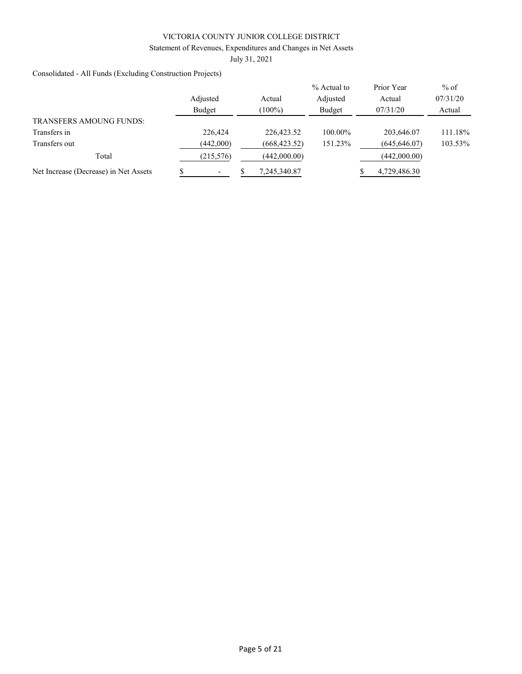Statement of Revenues, Expenditures and Changes in Net Assets

July 31, 2021

Consolidated - All Funds (Excluding Construction Projects)

|                                       |            |               | $%$ Actual to | Prior Year    | $%$ of   |  |
|---------------------------------------|------------|---------------|---------------|---------------|----------|--|
|                                       | Adjusted   | Actual        | Adjusted      | Actual        | 07/31/20 |  |
|                                       | Budget     | $(100\%)$     | Budget        | 07/31/20      | Actual   |  |
| <b>TRANSFERS AMOUNG FUNDS:</b>        |            |               |               |               |          |  |
| Transfers in                          | 226,424    | 226,423.52    | 100.00%       | 203,646.07    | 111.18%  |  |
| Transfers out                         | (442,000)  | (668, 423.52) | 151.23%       | (645, 646.07) | 103.53%  |  |
| Total                                 | (215, 576) | (442,000.00)  |               | (442,000.00)  |          |  |
| Net Increase (Decrease) in Net Assets |            | 7,245,340.87  |               | 4,729,486.30  |          |  |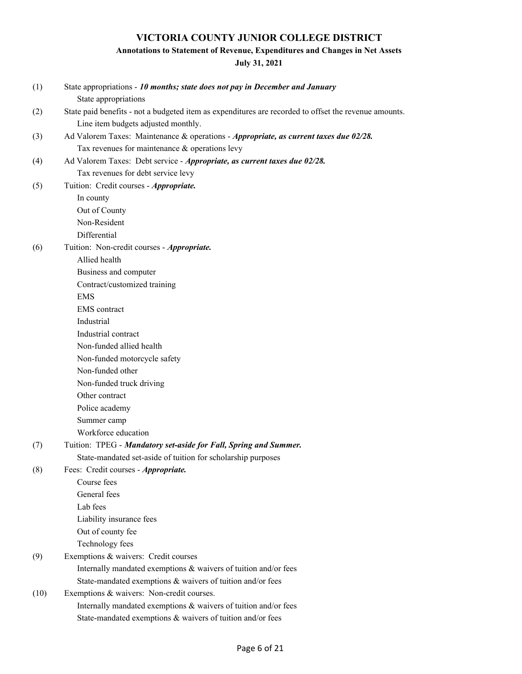### **Annotations to Statement of Revenue, Expenditures and Changes in Net Assets**

### **July 31, 2021**

| (1)  | State appropriations - 10 months; state does not pay in December and January<br>State appropriations  |
|------|-------------------------------------------------------------------------------------------------------|
| (2)  | State paid benefits - not a budgeted item as expenditures are recorded to offset the revenue amounts. |
|      | Line item budgets adjusted monthly.                                                                   |
| (3)  | Ad Valorem Taxes: Maintenance & operations - Appropriate, as current taxes due 02/28.                 |
|      | Tax revenues for maintenance $&$ operations levy                                                      |
| (4)  | Ad Valorem Taxes: Debt service - Appropriate, as current taxes due 02/28.                             |
|      | Tax revenues for debt service levy                                                                    |
| (5)  | Tuition: Credit courses - Appropriate.                                                                |
|      | In county                                                                                             |
|      | Out of County                                                                                         |
|      | Non-Resident                                                                                          |
|      | Differential                                                                                          |
| (6)  | Tuition: Non-credit courses - Appropriate.                                                            |
|      | Allied health                                                                                         |
|      | Business and computer                                                                                 |
|      | Contract/customized training                                                                          |
|      | <b>EMS</b>                                                                                            |
|      | <b>EMS</b> contract                                                                                   |
|      | Industrial                                                                                            |
|      | Industrial contract                                                                                   |
|      | Non-funded allied health                                                                              |
|      | Non-funded motorcycle safety                                                                          |
|      | Non-funded other                                                                                      |
|      | Non-funded truck driving                                                                              |
|      | Other contract                                                                                        |
|      | Police academy                                                                                        |
|      | Summer camp                                                                                           |
|      | Workforce education                                                                                   |
| (7)  | Tuition: TPEG - Mandatory set-aside for Fall, Spring and Summer.                                      |
|      | State-mandated set-aside of tuition for scholarship purposes                                          |
| (8)  | Fees: Credit courses - Appropriate.                                                                   |
|      | Course fees                                                                                           |
|      | General fees                                                                                          |
|      | Lab fees                                                                                              |
|      | Liability insurance fees                                                                              |
|      | Out of county fee                                                                                     |
|      | Technology fees                                                                                       |
| (9)  | Exemptions & waivers: Credit courses                                                                  |
|      | Internally mandated exemptions & waivers of tuition and/or fees                                       |
|      | State-mandated exemptions & waivers of tuition and/or fees                                            |
| (10) | Exemptions & waivers: Non-credit courses.                                                             |
|      | Internally mandated exemptions & waivers of tuition and/or fees                                       |
|      | State-mandated exemptions & waivers of tuition and/or fees                                            |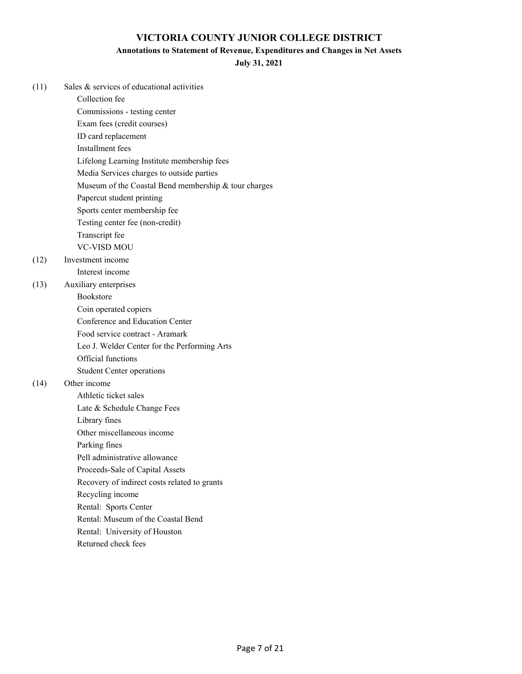### **Annotations to Statement of Revenue, Expenditures and Changes in Net Assets**

**July 31, 2021**

| (11) | Sales & services of educational activities           |
|------|------------------------------------------------------|
|      | Collection fee                                       |
|      | Commissions - testing center                         |
|      | Exam fees (credit courses)                           |
|      | ID card replacement                                  |
|      | Installment fees                                     |
|      | Lifelong Learning Institute membership fees          |
|      | Media Services charges to outside parties            |
|      | Museum of the Coastal Bend membership & tour charges |
|      | Papercut student printing                            |
|      | Sports center membership fee                         |
|      | Testing center fee (non-credit)                      |
|      | Transcript fee                                       |
|      | <b>VC-VISD MOU</b>                                   |
| (12) | Investment income                                    |
|      | Interest income                                      |
| (13) | Auxiliary enterprises                                |
|      | <b>Bookstore</b>                                     |
|      | Coin operated copiers                                |
|      | Conference and Education Center                      |
|      | Food service contract - Aramark                      |
|      | Leo J. Welder Center for the Performing Arts         |
|      | Official functions                                   |
|      | <b>Student Center operations</b>                     |
| (14) | Other income                                         |
|      | Athletic ticket sales                                |
|      | Late & Schedule Change Fees                          |
|      | Library fines                                        |
|      | Other miscellaneous income                           |
|      | Parking fines                                        |
|      | Pell administrative allowance                        |
|      | Proceeds-Sale of Capital Assets                      |
|      | Recovery of indirect costs related to grants         |
|      | Recycling income                                     |
|      | Rental: Sports Center                                |
|      | Rental: Museum of the Coastal Bend                   |
|      | Rental: University of Houston                        |

Returned check fees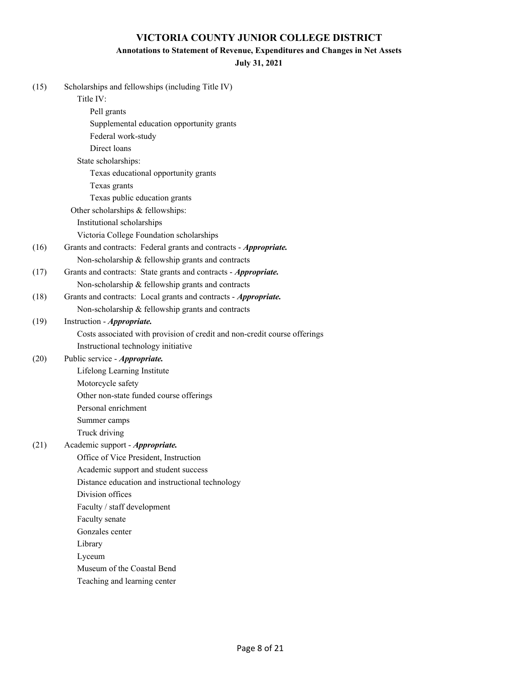### **Annotations to Statement of Revenue, Expenditures and Changes in Net Assets**

### **July 31, 2021**

| (15) | Scholarships and fellowships (including Title IV)                         |
|------|---------------------------------------------------------------------------|
|      | Title IV:                                                                 |
|      | Pell grants                                                               |
|      | Supplemental education opportunity grants                                 |
|      | Federal work-study                                                        |
|      | Direct loans                                                              |
|      | State scholarships:                                                       |
|      | Texas educational opportunity grants                                      |
|      | Texas grants                                                              |
|      | Texas public education grants                                             |
|      | Other scholarships & fellowships:                                         |
|      | Institutional scholarships                                                |
|      | Victoria College Foundation scholarships                                  |
| (16) | Grants and contracts: Federal grants and contracts - Appropriate.         |
|      | Non-scholarship & fellowship grants and contracts                         |
| (17) | Grants and contracts: State grants and contracts - Appropriate.           |
|      | Non-scholarship & fellowship grants and contracts                         |
| (18) | Grants and contracts: Local grants and contracts - Appropriate.           |
|      | Non-scholarship & fellowship grants and contracts                         |
| (19) | Instruction - Appropriate.                                                |
|      | Costs associated with provision of credit and non-credit course offerings |
|      | Instructional technology initiative                                       |
| (20) | Public service - <i>Appropriate</i> .                                     |
|      | Lifelong Learning Institute                                               |
|      | Motorcycle safety                                                         |
|      | Other non-state funded course offerings                                   |
|      | Personal enrichment                                                       |
|      | Summer camps                                                              |
|      | Truck driving                                                             |
| (21) | Academic support - Appropriate.                                           |
|      | Office of Vice President, Instruction                                     |
|      | Academic support and student success                                      |
|      | Distance education and instructional technology                           |
|      | Division offices                                                          |
|      | Faculty / staff development                                               |
|      | Faculty senate                                                            |
|      | Gonzales center                                                           |
|      | Library                                                                   |
|      | Lyceum                                                                    |
|      | Museum of the Coastal Bend                                                |
|      | Teaching and learning center                                              |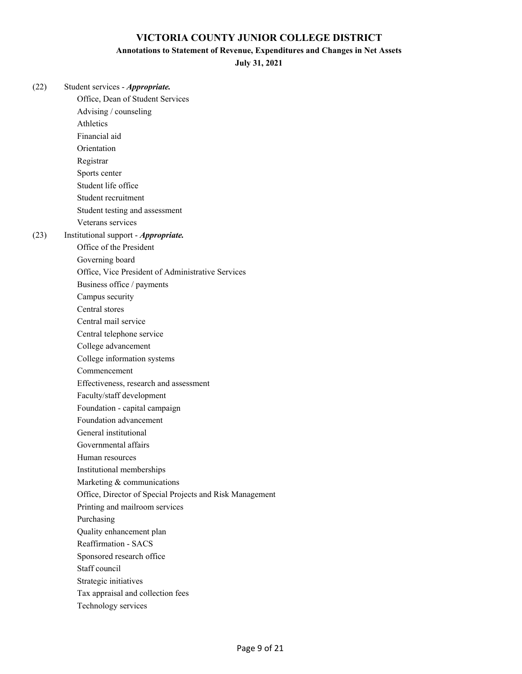#### **Annotations to Statement of Revenue, Expenditures and Changes in Net Assets**

**July 31, 2021**

(22) Student services - *Appropriate.* Office, Dean of Student Services Advising / counseling Athletics Financial aid Orientation Registrar Sports center Student life office Student recruitment Student testing and assessment Veterans services (23) Institutional support - *Appropriate.* Office of the President Governing board Office, Vice President of Administrative Services Business office / payments Campus security Central stores Central mail service Central telephone service College advancement College information systems Commencement Effectiveness, research and assessment Faculty/staff development Foundation - capital campaign Foundation advancement General institutional Governmental affairs Human resources Institutional memberships Marketing & communications Office, Director of Special Projects and Risk Management Printing and mailroom services Purchasing Quality enhancement plan Reaffirmation - SACS Sponsored research office Staff council Strategic initiatives Tax appraisal and collection fees Technology services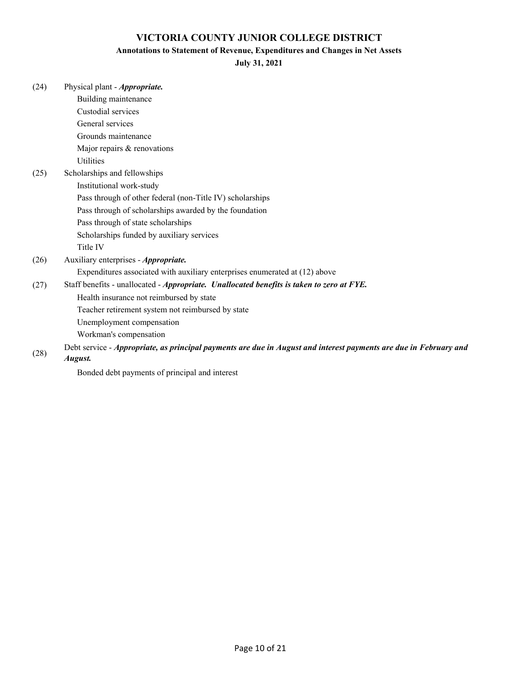### **Annotations to Statement of Revenue, Expenditures and Changes in Net Assets**

**July 31, 2021**

| (24) | Physical plant - Appropriate.                                                                                     |
|------|-------------------------------------------------------------------------------------------------------------------|
|      | Building maintenance                                                                                              |
|      | Custodial services                                                                                                |
|      | General services                                                                                                  |
|      | Grounds maintenance                                                                                               |
|      | Major repairs & renovations                                                                                       |
|      | <b>Utilities</b>                                                                                                  |
| (25) | Scholarships and fellowships                                                                                      |
|      | Institutional work-study                                                                                          |
|      | Pass through of other federal (non-Title IV) scholarships                                                         |
|      | Pass through of scholarships awarded by the foundation                                                            |
|      | Pass through of state scholarships                                                                                |
|      | Scholarships funded by auxiliary services                                                                         |
|      | Title IV                                                                                                          |
| (26) | Auxiliary enterprises - <i>Appropriate</i> .                                                                      |
|      | Expenditures associated with auxiliary enterprises enumerated at (12) above                                       |
| (27) | Staff benefits - unallocated - Appropriate. Unallocated benefits is taken to zero at FYE.                         |
|      | Health insurance not reimbursed by state                                                                          |
|      | Teacher retirement system not reimbursed by state                                                                 |
|      | Unemployment compensation                                                                                         |
|      | Workman's compensation                                                                                            |
| (28) | Debt service - Appropriate, as principal payments are due in August and interest payments are due in February and |
|      | August.                                                                                                           |

Bonded debt payments of principal and interest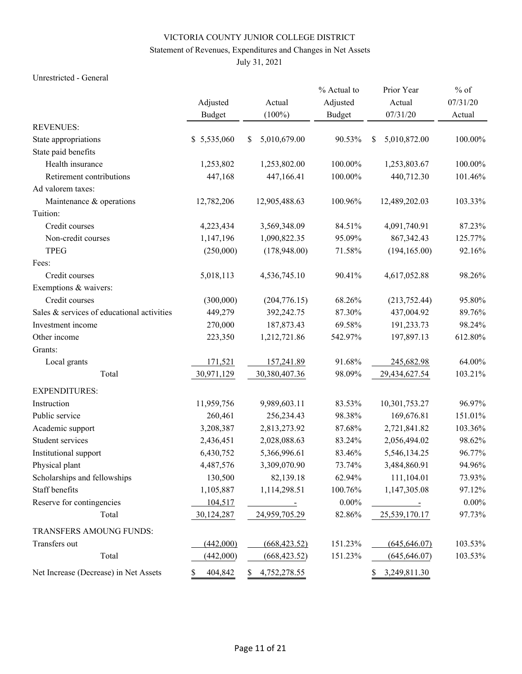### Statement of Revenues, Expenditures and Changes in Net Assets

July 31, 2021

#### Unrestricted - General

|                                            |               |                           | % Actual to   | Prior Year                | $%$ of   |  |
|--------------------------------------------|---------------|---------------------------|---------------|---------------------------|----------|--|
|                                            | Adjusted      | Actual                    | Adjusted      | Actual                    | 07/31/20 |  |
|                                            | <b>Budget</b> | $(100\%)$                 | <b>Budget</b> | 07/31/20                  | Actual   |  |
| <b>REVENUES:</b>                           |               |                           |               |                           |          |  |
| State appropriations                       | \$5,535,060   | 5,010,679.00<br>\$        | 90.53%        | 5,010,872.00<br>\$        | 100.00%  |  |
| State paid benefits                        |               |                           |               |                           |          |  |
| Health insurance                           | 1,253,802     | 1,253,802.00              | 100.00%       | 1,253,803.67              | 100.00%  |  |
| Retirement contributions                   | 447,168       | 447,166.41                | 100.00%       | 440,712.30                | 101.46%  |  |
| Ad valorem taxes:                          |               |                           |               |                           |          |  |
| Maintenance & operations                   | 12,782,206    | 12,905,488.63             | 100.96%       | 12,489,202.03             | 103.33%  |  |
| Tuition:                                   |               |                           |               |                           |          |  |
| Credit courses                             | 4,223,434     | 3,569,348.09              | 84.51%        | 4,091,740.91              | 87.23%   |  |
| Non-credit courses                         | 1,147,196     | 1,090,822.35              | 95.09%        | 867, 342. 43              | 125.77%  |  |
| <b>TPEG</b>                                | (250,000)     | (178,948.00)              | 71.58%        | (194, 165.00)             | 92.16%   |  |
| Fees:                                      |               |                           |               |                           |          |  |
| Credit courses                             | 5,018,113     | 4,536,745.10              | 90.41%        | 4,617,052.88              | 98.26%   |  |
| Exemptions & waivers:                      |               |                           |               |                           |          |  |
| Credit courses                             | (300,000)     | (204, 776.15)             | 68.26%        | (213, 752.44)             | 95.80%   |  |
| Sales & services of educational activities | 449,279       | 392,242.75                | 87.30%        | 437,004.92                | 89.76%   |  |
| Investment income                          | 270,000       | 187,873.43                | 69.58%        | 191,233.73                | 98.24%   |  |
| Other income                               | 223,350       | 1,212,721.86              | 542.97%       | 197,897.13                | 612.80%  |  |
| Grants:                                    |               |                           |               |                           |          |  |
| Local grants                               | 171,521       | 157,241.89                | 91.68%        | 245,682.98                | 64.00%   |  |
| Total                                      | 30,971,129    | 30,380,407.36             | 98.09%        | 29,434,627.54             | 103.21%  |  |
| <b>EXPENDITURES:</b>                       |               |                           |               |                           |          |  |
| Instruction                                | 11,959,756    | 9,989,603.11              | 83.53%        | 10,301,753.27             | 96.97%   |  |
| Public service                             | 260,461       | 256,234.43                | 98.38%        | 169,676.81                | 151.01%  |  |
| Academic support                           | 3,208,387     | 2,813,273.92              | 87.68%        | 2,721,841.82              | 103.36%  |  |
| Student services                           | 2,436,451     | 2,028,088.63              | 83.24%        | 2,056,494.02              | 98.62%   |  |
| Institutional support                      | 6,430,752     | 5,366,996.61              | 83.46%        | 5,546,134.25              | 96.77%   |  |
| Physical plant                             | 4,487,576     | 3,309,070.90              | 73.74%        | 3,484,860.91              | 94.96%   |  |
| Scholarships and fellowships               | 130,500       | 82,139.18                 | 62.94%        | 111,104.01                | 73.93%   |  |
| Staff benefits                             | 1,105,887     | 1,114,298.51              | 100.76%       | 1,147,305.08              | 97.12%   |  |
| Reserve for contingencies                  | 104,517       | $\sim 10^{11}$ km $^{-1}$ | $0.00\%$      | $\sim 10^{-10}$ m $^{-1}$ | $0.00\%$ |  |
| Total                                      | 30,124,287    | 24,959,705.29             | 82.86%        | 25,539,170.17             | 97.73%   |  |
| TRANSFERS AMOUNG FUNDS:                    |               |                           |               |                           |          |  |
| Transfers out                              | (442,000)     | (668, 423.52)             | 151.23%       | (645, 646.07)             | 103.53%  |  |
| Total                                      | (442,000)     | (668, 423.52)             | 151.23%       | (645, 646.07)             | 103.53%  |  |
| Net Increase (Decrease) in Net Assets      | 404,842<br>S  | 4,752,278.55<br>S.        |               | 3,249,811.30<br>S.        |          |  |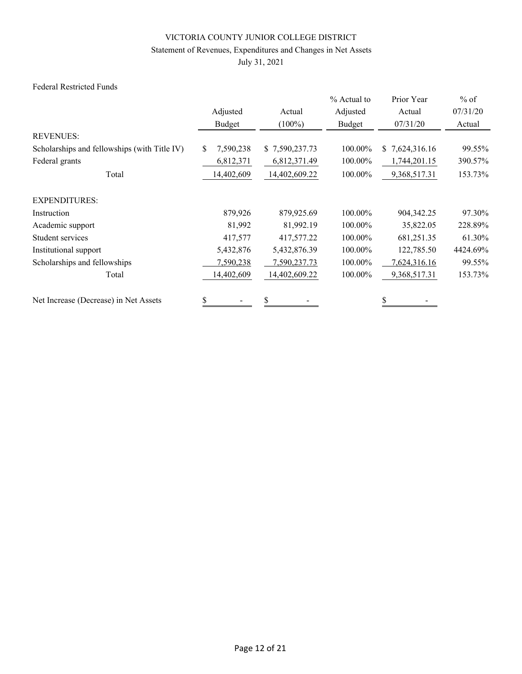### Statement of Revenues, Expenditures and Changes in Net Assets

July 31, 2021

#### Federal Restricted Funds

|                                              |                  |                | % Actual to | Prior Year         | $%$ of   |  |
|----------------------------------------------|------------------|----------------|-------------|--------------------|----------|--|
|                                              | Adjusted         | Actual         | Adjusted    | Actual             | 07/31/20 |  |
|                                              | Budget           | $(100\%)$      | Budget      | 07/31/20           | Actual   |  |
| <b>REVENUES:</b>                             |                  |                |             |                    |          |  |
| Scholarships and fellowships (with Title IV) | \$.<br>7,590,238 | \$7,590,237.73 | 100.00%     | 7,624,316.16<br>S. | 99.55%   |  |
| Federal grants                               | 6,812,371        | 6,812,371.49   | 100.00%     | 1,744,201.15       | 390.57%  |  |
| Total                                        | 14,402,609       | 14,402,609.22  | 100.00%     | 9,368,517.31       | 153.73%  |  |
| <b>EXPENDITURES:</b>                         |                  |                |             |                    |          |  |
| Instruction                                  | 879,926          | 879,925.69     | 100.00%     | 904,342.25         | 97.30%   |  |
| Academic support                             | 81,992           | 81,992.19      | 100.00%     | 35,822.05          | 228.89%  |  |
| Student services                             | 417,577          | 417,577.22     | 100.00%     | 681,251.35         | 61.30%   |  |
| Institutional support                        | 5,432,876        | 5,432,876.39   | 100.00%     | 122,785.50         | 4424.69% |  |
| Scholarships and fellowships                 | 7,590,238        | 7,590,237.73   | 100.00%     | 7,624,316.16       | 99.55%   |  |
| Total                                        | 14,402,609       | 14,402,609.22  | 100.00%     | 9,368,517.31       | 153.73%  |  |
| Net Increase (Decrease) in Net Assets        | \$               | \$             |             |                    |          |  |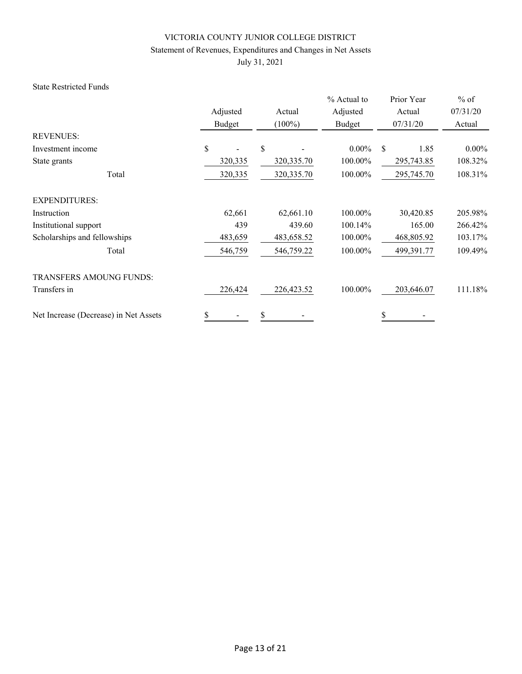### Statement of Revenues, Expenditures and Changes in Net Assets

July 31, 2021

#### State Restricted Funds

|                                       |          |             | % Actual to | Prior Year | $%$ of   |
|---------------------------------------|----------|-------------|-------------|------------|----------|
|                                       | Adjusted | Actual      | Adjusted    | Actual     | 07/31/20 |
|                                       | Budget   | $(100\%)$   | Budget      | 07/31/20   | Actual   |
| <b>REVENUES:</b>                      |          |             |             |            |          |
| Investment income                     | \$       | \$          | $0.00\%$    | \$<br>1.85 | $0.00\%$ |
| State grants                          | 320,335  | 320, 335.70 | 100.00%     | 295,743.85 | 108.32%  |
| Total                                 | 320,335  | 320, 335.70 | 100.00%     | 295,745.70 | 108.31%  |
| <b>EXPENDITURES:</b>                  |          |             |             |            |          |
| Instruction                           | 62,661   | 62,661.10   | 100.00%     | 30,420.85  | 205.98%  |
| Institutional support                 | 439      | 439.60      | 100.14%     | 165.00     | 266.42%  |
| Scholarships and fellowships          | 483,659  | 483,658.52  | 100.00%     | 468,805.92 | 103.17%  |
| Total                                 | 546,759  | 546,759.22  | 100.00%     | 499,391.77 | 109.49%  |
| <b>TRANSFERS AMOUNG FUNDS:</b>        |          |             |             |            |          |
| Transfers in                          | 226,424  | 226,423.52  | 100.00%     | 203,646.07 | 111.18%  |
| Net Increase (Decrease) in Net Assets | \$       | \$          |             | \$         |          |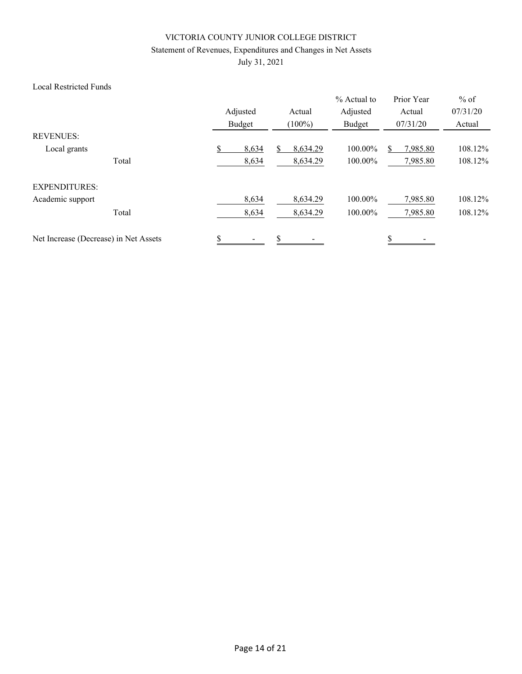### Statement of Revenues, Expenditures and Changes in Net Assets

July 31, 2021

#### Local Restricted Funds

|                                       |       | Adjusted<br>Budget | Actual<br>$(100\%)$ | % Actual to<br>Adjusted<br>Budget | Prior Year<br>Actual<br>07/31/20 | $%$ of<br>07/31/20<br>Actual |
|---------------------------------------|-------|--------------------|---------------------|-----------------------------------|----------------------------------|------------------------------|
| <b>REVENUES:</b>                      |       |                    |                     |                                   |                                  |                              |
| Local grants                          |       | \$<br>8,634        | 8,634.29            | 100.00%                           | 7,985.80                         | 108.12%                      |
|                                       | Total | 8,634              | 8,634.29            | 100.00%                           | 7,985.80                         | 108.12%                      |
| <b>EXPENDITURES:</b>                  |       |                    |                     |                                   |                                  |                              |
| Academic support                      |       | 8,634              | 8,634.29            | 100.00%                           | 7,985.80                         | 108.12%                      |
|                                       | Total | 8,634              | 8,634.29            | 100.00%                           | 7,985.80                         | 108.12%                      |
| Net Increase (Decrease) in Net Assets |       | \$                 | \$                  |                                   | \$                               |                              |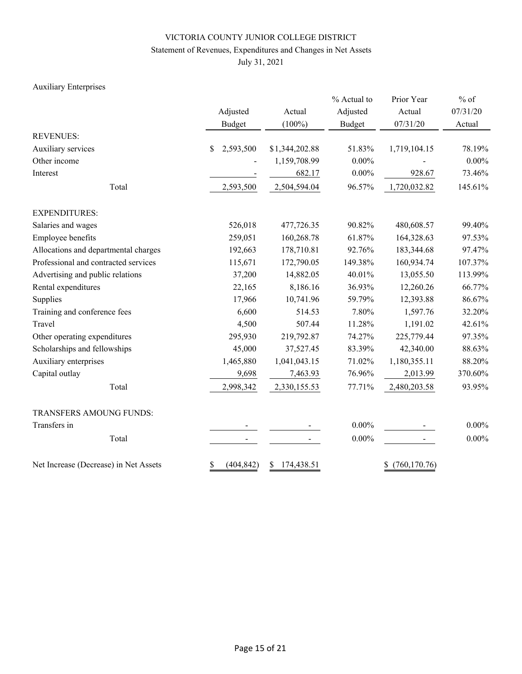### Statement of Revenues, Expenditures and Changes in Net Assets

July 31, 2021

### Auxiliary Enterprises

|                                       | Adjusted              | Actual           | % Actual to<br>Adjusted | Prior Year<br>Actual | $%$ of<br>07/31/20 |  |
|---------------------------------------|-----------------------|------------------|-------------------------|----------------------|--------------------|--|
|                                       | <b>Budget</b>         | $(100\%)$        | <b>Budget</b>           | 07/31/20             | Actual             |  |
| <b>REVENUES:</b>                      |                       |                  |                         |                      |                    |  |
| Auxiliary services                    | 2,593,500<br>\$       | \$1,344,202.88   | 51.83%                  | 1,719,104.15         | 78.19%             |  |
| Other income                          |                       | 1,159,708.99     | $0.00\%$                |                      | $0.00\%$           |  |
| Interest                              |                       | 682.17           | $0.00\%$                | 928.67               | 73.46%             |  |
| Total                                 | 2,593,500             | 2,504,594.04     | 96.57%                  | 1,720,032.82         | 145.61%            |  |
| <b>EXPENDITURES:</b>                  |                       |                  |                         |                      |                    |  |
| Salaries and wages                    | 526,018<br>477,726.35 |                  | 90.82%                  | 480,608.57           | 99.40%             |  |
| Employee benefits                     | 259,051               | 160,268.78       | 61.87%                  | 164,328.63           | 97.53%             |  |
| Allocations and departmental charges  | 192,663               | 178,710.81       | 92.76%                  | 183,344.68           | 97.47%             |  |
| Professional and contracted services  | 115,671               | 172,790.05       | 149.38%                 | 160,934.74           | 107.37%            |  |
| Advertising and public relations      | 37,200                | 14,882.05        | 40.01%                  | 13,055.50            | 113.99%            |  |
| Rental expenditures                   | 22,165                | 8,186.16         | 36.93%                  | 12,260.26            | 66.77%             |  |
| Supplies                              | 17,966                | 10,741.96        | 59.79%                  | 12,393.88            | 86.67%             |  |
| Training and conference fees          | 6,600                 | 514.53           | 7.80%                   | 1,597.76             | 32.20%             |  |
| Travel                                | 4,500                 | 507.44           | 11.28%                  | 1,191.02             | 42.61%             |  |
| Other operating expenditures          | 295,930               | 219,792.87       | 74.27%                  | 225,779.44           | 97.35%             |  |
| Scholarships and fellowships          | 45,000                | 37,527.45        | 83.39%                  | 42,340.00            | 88.63%             |  |
| Auxiliary enterprises                 | 1,465,880             | 1,041,043.15     | 71.02%                  | 1,180,355.11         | 88.20%             |  |
| Capital outlay                        | 9,698                 | 7,463.93         | 76.96%                  | 2,013.99             | 370.60%            |  |
| Total                                 | 2,998,342             | 2,330,155.53     | 77.71%                  | 2,480,203.58         | 93.95%             |  |
| TRANSFERS AMOUNG FUNDS:               |                       |                  |                         |                      |                    |  |
| Transfers in                          |                       |                  | $0.00\%$                |                      | $0.00\%$           |  |
| Total                                 |                       |                  | $0.00\%$                |                      | $0.00\%$           |  |
| Net Increase (Decrease) in Net Assets | \$<br>(404, 842)      | 174,438.51<br>\$ |                         | (760, 170.76)<br>\$  |                    |  |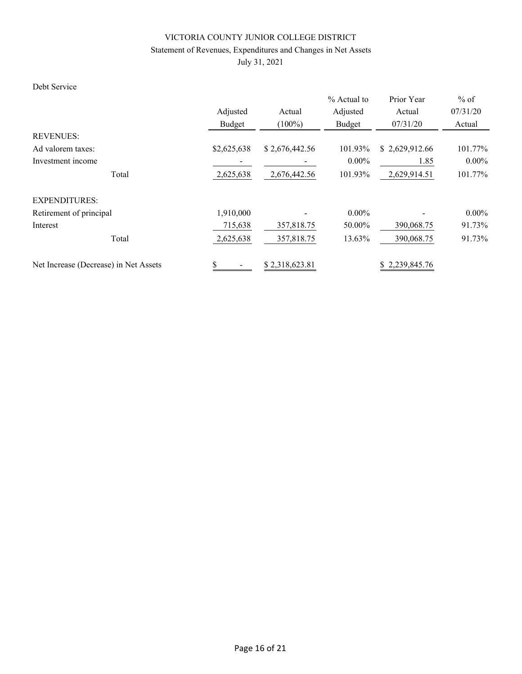### Statement of Revenues, Expenditures and Changes in Net Assets

July 31, 2021

#### Debt Service

|                                       |             |                | $%$ Actual to | Prior Year     | $%$ of              |  |
|---------------------------------------|-------------|----------------|---------------|----------------|---------------------|--|
|                                       | Adjusted    | Actual         | Adjusted      | Actual         | 07/31/20            |  |
|                                       | Budget      | $(100\%)$      | Budget        | 07/31/20       | Actual              |  |
| <b>REVENUES:</b>                      |             |                |               |                |                     |  |
| Ad valorem taxes:                     | \$2,625,638 | \$2,676,442.56 | 101.93%       | \$2,629,912.66 | 101.77%             |  |
| Investment income                     |             |                | $0.00\%$      | 1.85           | $0.00\%$<br>101.77% |  |
| Total                                 | 2,625,638   | 2,676,442.56   | 101.93%       | 2,629,914.51   |                     |  |
| <b>EXPENDITURES:</b>                  |             |                |               |                |                     |  |
| Retirement of principal               | 1,910,000   |                | $0.00\%$      |                | $0.00\%$            |  |
| Interest                              | 715,638     | 357,818.75     | 50.00%        | 390,068.75     | 91.73%              |  |
| Total                                 | 2,625,638   | 357,818.75     | 13.63%        | 390,068.75     | 91.73%              |  |
| Net Increase (Decrease) in Net Assets | \$          | \$2,318,623.81 |               | \$2,239,845.76 |                     |  |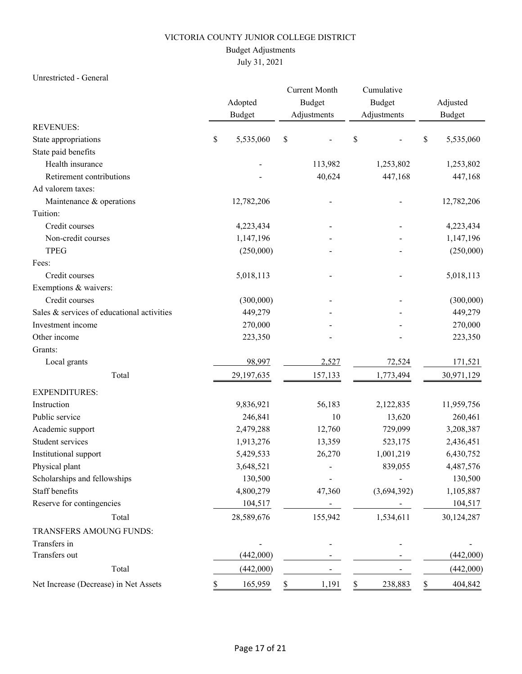### Budget Adjustments

# July 31, 2021

#### Unrestricted - General

|                                            |    | Adopted       |             | <b>Current Month</b><br>Budget |    | Cumulative<br>Budget |    | Adjusted      |
|--------------------------------------------|----|---------------|-------------|--------------------------------|----|----------------------|----|---------------|
|                                            |    | <b>Budget</b> | Adjustments |                                |    | Adjustments          |    | <b>Budget</b> |
| <b>REVENUES:</b>                           |    |               |             |                                |    |                      |    |               |
| State appropriations                       | \$ | 5,535,060     | $\$$        |                                | \$ |                      | \$ | 5,535,060     |
| State paid benefits                        |    |               |             |                                |    |                      |    |               |
| Health insurance                           |    |               |             | 113,982                        |    | 1,253,802            |    | 1,253,802     |
| Retirement contributions                   |    |               |             | 40,624                         |    | 447,168              |    | 447,168       |
| Ad valorem taxes:                          |    |               |             |                                |    |                      |    |               |
| Maintenance & operations                   |    | 12,782,206    |             |                                |    |                      |    | 12,782,206    |
| Tuition:                                   |    |               |             |                                |    |                      |    |               |
| Credit courses                             |    | 4,223,434     |             |                                |    |                      |    | 4,223,434     |
| Non-credit courses                         |    | 1,147,196     |             |                                |    |                      |    | 1,147,196     |
| <b>TPEG</b>                                |    | (250,000)     |             |                                |    |                      |    | (250,000)     |
| Fees:                                      |    |               |             |                                |    |                      |    |               |
| Credit courses                             |    | 5,018,113     |             |                                |    |                      |    | 5,018,113     |
| Exemptions & waivers:                      |    |               |             |                                |    |                      |    |               |
| Credit courses                             |    | (300,000)     |             |                                |    |                      |    | (300,000)     |
| Sales & services of educational activities |    | 449,279       |             |                                |    |                      |    | 449,279       |
| Investment income                          |    | 270,000       |             |                                |    |                      |    | 270,000       |
| Other income                               |    | 223,350       |             |                                |    |                      |    | 223,350       |
| Grants:                                    |    |               |             |                                |    |                      |    |               |
| Local grants                               |    | 98,997        |             | 2,527                          |    | 72,524               |    | 171,521       |
| Total                                      |    | 29,197,635    |             | 157,133                        |    | 1,773,494            |    | 30,971,129    |
| <b>EXPENDITURES:</b>                       |    |               |             |                                |    |                      |    |               |
| Instruction                                |    | 9,836,921     |             | 56,183                         |    | 2,122,835            |    | 11,959,756    |
| Public service                             |    | 246,841       |             | 10                             |    | 13,620               |    | 260,461       |
| Academic support                           |    | 2,479,288     |             | 12,760                         |    | 729,099              |    | 3,208,387     |
| Student services                           |    | 1,913,276     |             | 13,359                         |    | 523,175              |    | 2,436,451     |
| Institutional support                      |    | 5,429,533     |             | 26,270                         |    | 1,001,219            |    | 6,430,752     |
| Physical plant                             |    | 3,648,521     |             | $\blacksquare$                 |    | 839,055              |    | 4,487,576     |
| Scholarships and fellowships               |    | 130,500       |             |                                |    |                      |    | 130,500       |
| Staff benefits                             |    | 4,800,279     |             | 47,360                         |    | (3,694,392)          |    | 1,105,887     |
| Reserve for contingencies                  |    | 104,517       |             |                                |    |                      |    | 104,517       |
| Total                                      |    | 28,589,676    |             | 155,942                        |    | 1,534,611            |    | 30,124,287    |
| TRANSFERS AMOUNG FUNDS:                    |    |               |             |                                |    |                      |    |               |
| Transfers in                               |    |               |             |                                |    |                      |    |               |
| Transfers out                              |    | (442,000)     |             |                                |    |                      |    | (442,000)     |
| Total                                      |    | (442,000)     |             |                                |    |                      |    | (442,000)     |
| Net Increase (Decrease) in Net Assets      |    | 165,959       | \$          | 1,191                          | S. | 238,883              | S. | 404,842       |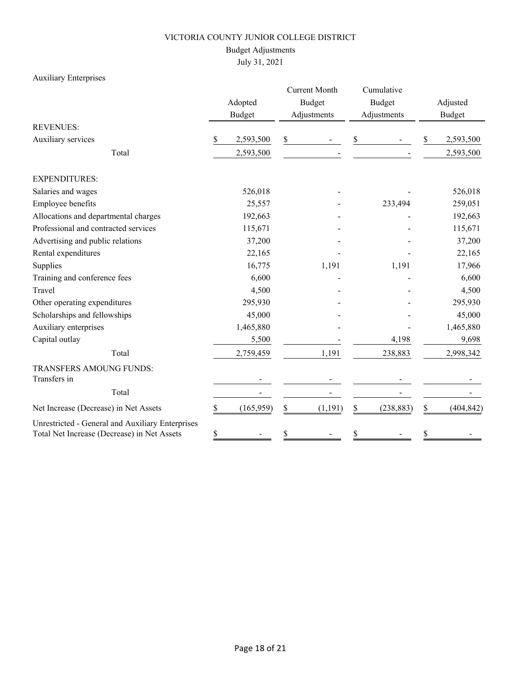### Budget Adjustments

July 31, 2021

### Auxiliary Enterprises

|                                                                                                 |        | Adopted<br><b>Budget</b> |    | <b>Current Month</b><br><b>Budget</b><br>Adjustments |    | Cumulative<br><b>Budget</b><br>Adjustments |         | Adjusted<br><b>Budget</b> |  |
|-------------------------------------------------------------------------------------------------|--------|--------------------------|----|------------------------------------------------------|----|--------------------------------------------|---------|---------------------------|--|
| <b>REVENUES:</b>                                                                                |        |                          |    |                                                      |    |                                            |         |                           |  |
| Auxiliary services                                                                              | \$     | 2,593,500                | \$ |                                                      | \$ |                                            | \$      | 2,593,500                 |  |
| Total                                                                                           |        | 2,593,500                |    |                                                      |    |                                            |         | 2,593,500                 |  |
| <b>EXPENDITURES:</b>                                                                            |        |                          |    |                                                      |    |                                            |         |                           |  |
| Salaries and wages                                                                              |        | 526,018                  |    |                                                      |    |                                            |         | 526,018                   |  |
| Employee benefits                                                                               |        | 25,557                   |    |                                                      |    | 233,494                                    | 259,051 |                           |  |
| Allocations and departmental charges                                                            |        | 192,663                  |    |                                                      |    |                                            |         | 192,663                   |  |
| Professional and contracted services                                                            |        | 115,671                  |    |                                                      |    |                                            |         | 115,671                   |  |
| Advertising and public relations                                                                | 37,200 |                          |    |                                                      |    |                                            |         | 37,200                    |  |
| Rental expenditures                                                                             |        | 22,165                   |    |                                                      |    |                                            |         | 22,165                    |  |
| Supplies                                                                                        |        | 16,775                   |    | 1,191                                                |    | 1,191                                      |         | 17,966                    |  |
| Training and conference fees                                                                    |        | 6,600                    |    |                                                      |    |                                            |         | 6,600                     |  |
| Travel                                                                                          |        | 4,500                    |    |                                                      |    |                                            |         | 4,500                     |  |
| Other operating expenditures                                                                    |        | 295,930                  |    |                                                      |    |                                            |         | 295,930                   |  |
| Scholarships and fellowships                                                                    |        | 45,000                   |    |                                                      |    |                                            |         | 45,000                    |  |
| Auxiliary enterprises                                                                           |        | 1,465,880                |    |                                                      |    |                                            |         | 1,465,880                 |  |
| Capital outlay                                                                                  |        | 5,500                    |    |                                                      |    | 4,198                                      |         | 9,698                     |  |
| Total                                                                                           |        | 2,759,459                |    | 1,191                                                |    | 238,883                                    |         | 2,998,342                 |  |
| TRANSFERS AMOUNG FUNDS:<br>Transfers in                                                         |        |                          |    |                                                      |    |                                            |         |                           |  |
| Total                                                                                           |        |                          |    |                                                      |    |                                            |         |                           |  |
| Net Increase (Decrease) in Net Assets                                                           | \$     | (165, 959)               | \$ | (1,191)                                              | \$ | (238, 883)                                 | \$      | (404, 842)                |  |
| Unrestricted - General and Auxiliary Enterprises<br>Total Net Increase (Decrease) in Net Assets | \$     |                          | \$ |                                                      | \$ |                                            | \$      |                           |  |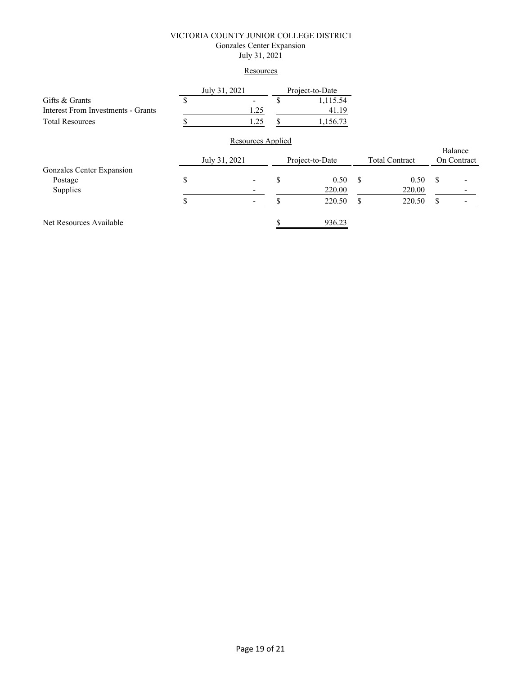#### VICTORIA COUNTY JUNIOR COLLEGE DISTRICT Gonzales Center Expansion July 31, 2021

#### **Resources**

|                                           | July 31, 2021 |                   |                 | Project-to-Date |                       |        |             |         |
|-------------------------------------------|---------------|-------------------|-----------------|-----------------|-----------------------|--------|-------------|---------|
| Gifts & Grants                            |               |                   | J               | 1,115.54        |                       |        |             |         |
| <b>Interest From Investments - Grants</b> |               | 1.25              |                 | 41.19           |                       |        |             |         |
| <b>Total Resources</b>                    |               | 1.25              | S               | 1,156.73        |                       |        |             |         |
|                                           |               | Resources Applied |                 |                 |                       |        |             |         |
|                                           |               |                   |                 |                 |                       |        |             | Balance |
|                                           |               | July 31, 2021     | Project-to-Date |                 | <b>Total Contract</b> |        | On Contract |         |
| Gonzales Center Expansion                 |               |                   |                 |                 |                       |        |             |         |
| Postage                                   | \$            |                   | \$              | 0.50            | \$                    | 0.50   | S           |         |
| Supplies                                  |               |                   |                 | 220.00          |                       | 220.00 |             |         |
|                                           |               |                   |                 | 220.50          | S                     | 220.50 | S           |         |
| Net Resources Available                   |               |                   |                 | 936.23          |                       |        |             |         |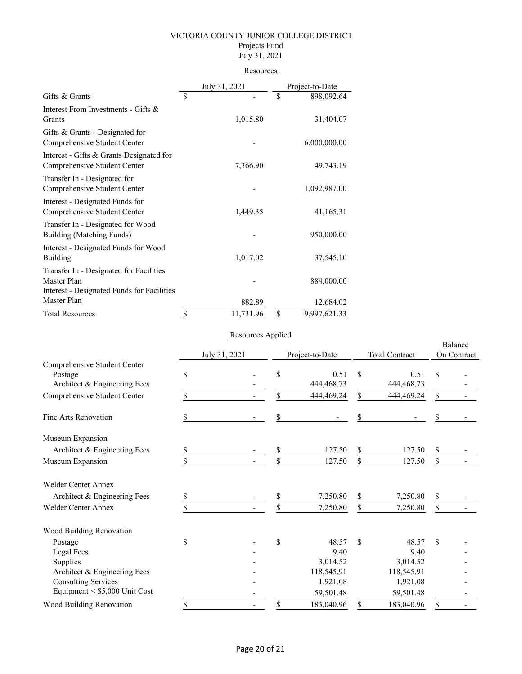#### Projects Fund July 31, 2021

# **Resources**

|                                                                                                      | July 31, 2021   |    | Project-to-Date |
|------------------------------------------------------------------------------------------------------|-----------------|----|-----------------|
| Gifts & Grants                                                                                       | \$              | \$ | 898,092.64      |
| Interest From Investments - Gifts &<br>Grants                                                        | 1,015.80        |    | 31,404.07       |
| Gifts $&$ Grants - Designated for<br>Comprehensive Student Center                                    |                 |    | 6,000,000.00    |
| Interest - Gifts & Grants Designated for<br>Comprehensive Student Center                             | 7,366.90        |    | 49,743.19       |
| Transfer In - Designated for<br>Comprehensive Student Center                                         |                 |    | 1,092,987.00    |
| Interest - Designated Funds for<br>Comprehensive Student Center                                      | 1,449.35        |    | 41,165.31       |
| Transfer In - Designated for Wood<br>Building (Matching Funds)                                       |                 |    | 950,000.00      |
| Interest - Designated Funds for Wood<br><b>Building</b>                                              | 1,017.02        |    | 37,545.10       |
| Transfer In - Designated for Facilities<br>Master Plan<br>Interest - Designated Funds for Facilities |                 |    | 884,000.00      |
| Master Plan                                                                                          | 882.89          |    | 12,684.02       |
| <b>Total Resources</b>                                                                               | \$<br>11,731.96 | \$ | 9,997,621.33    |

### Resources Applied

|                                                                         |               | <i>reported inputed</i> |                 |                      |                       |                      |                        |  |
|-------------------------------------------------------------------------|---------------|-------------------------|-----------------|----------------------|-----------------------|----------------------|------------------------|--|
|                                                                         | July 31, 2021 |                         | Project-to-Date |                      | <b>Total Contract</b> |                      | Balance<br>On Contract |  |
| Comprehensive Student Center<br>Postage<br>Architect & Engineering Fees | \$            |                         | \$              | 0.51<br>444, 468. 73 | \$                    | 0.51<br>444, 468. 73 | \$                     |  |
| Comprehensive Student Center                                            | \$            |                         | \$              | 444,469.24           | \$                    | 444,469.24           | \$                     |  |
| Fine Arts Renovation                                                    | \$            |                         | \$              |                      | \$                    |                      | \$                     |  |
| Museum Expansion                                                        |               |                         |                 |                      |                       |                      |                        |  |
| Architect & Engineering Fees                                            | \$            |                         | \$              | 127.50               | \$                    | 127.50               | \$                     |  |
| Museum Expansion                                                        | \$            |                         | \$              | 127.50               | \$                    | 127.50               | \$                     |  |
| <b>Welder Center Annex</b>                                              |               |                         |                 |                      |                       |                      |                        |  |
| Architect & Engineering Fees                                            | S             |                         | \$              | 7,250.80             | \$                    | 7,250.80             | \$                     |  |
| <b>Welder Center Annex</b>                                              | \$            |                         | \$              | 7,250.80             | \$                    | 7,250.80             | \$                     |  |
| Wood Building Renovation                                                |               |                         |                 |                      |                       |                      |                        |  |
| Postage                                                                 | \$            |                         | \$              | 48.57                | \$                    | 48.57                | \$                     |  |
| Legal Fees                                                              |               |                         |                 | 9.40                 |                       | 9.40                 |                        |  |
| Supplies                                                                |               |                         |                 | 3,014.52             |                       | 3,014.52             |                        |  |
| Architect & Engineering Fees                                            |               |                         |                 | 118,545.91           |                       | 118,545.91           |                        |  |
| <b>Consulting Services</b>                                              |               |                         |                 | 1,921.08             |                       | 1,921.08             |                        |  |
| Equipment $\leq$ \$5,000 Unit Cost                                      |               |                         |                 | 59,501.48            |                       | 59,501.48            |                        |  |
| Wood Building Renovation                                                | \$            |                         | \$              | 183,040.96           | \$                    | 183,040.96           | \$                     |  |